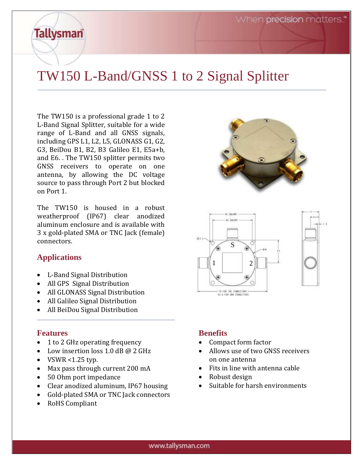## TW150 L-Band/GNSS 1 to 2 Signal Splitter

The TW150 is a professional grade 1 to 2 L-Band Signal Splitter, suitable for a wide range of L-Band and all GNSS signals, including GPS L1, L2, L5, GLONASS G1, G2, G3, BeiDou B1, B2, B3 Galileo E1, E5a+b, and E6. . The TW150 splitter permits two GNSS receivers to operate on one antenna, by allowing the DC voltage source to pass through Port 2 but blocked on Port 1.

The TW150 is housed in a robust weatherproof (IP67) clear anodized aluminum enclosure and is available with 3 x gold-plated SMA or TNC Jack (female)  $\overline{\text{connectors}}$ .

## **Applications**

**Tallysman** 

- L-Band Signal Distribution
- All GPS Signal Distribution
- All GLONASS Signal Distribution
- All Galileo Signal Distribution
- All BeiDou Signal Distribution

#### **Features**

- 1 to 2 GHz operating frequency
- Low insertion loss 1.0 dB @ 2 GHz
- VSWR  $< 1.25$  typ.
- Max pass through current 200 mA
- 50 Ohm port impedance
- Clear anodized aluminum, IP67 housing
- Gold-plated SMA or TNC Jack connectors
- RoHS Compliant

## **Benefits**

• Compact form factor

 $1 \quad | \quad 2$ 

S FOR THE COMMECTORS<br>3. A FOR SMA CONNECTOR

- Allows use of two GNSS receivers on one antenna
- Fits in line with antenna cable
- Robust design
- Suitable for harsh environments